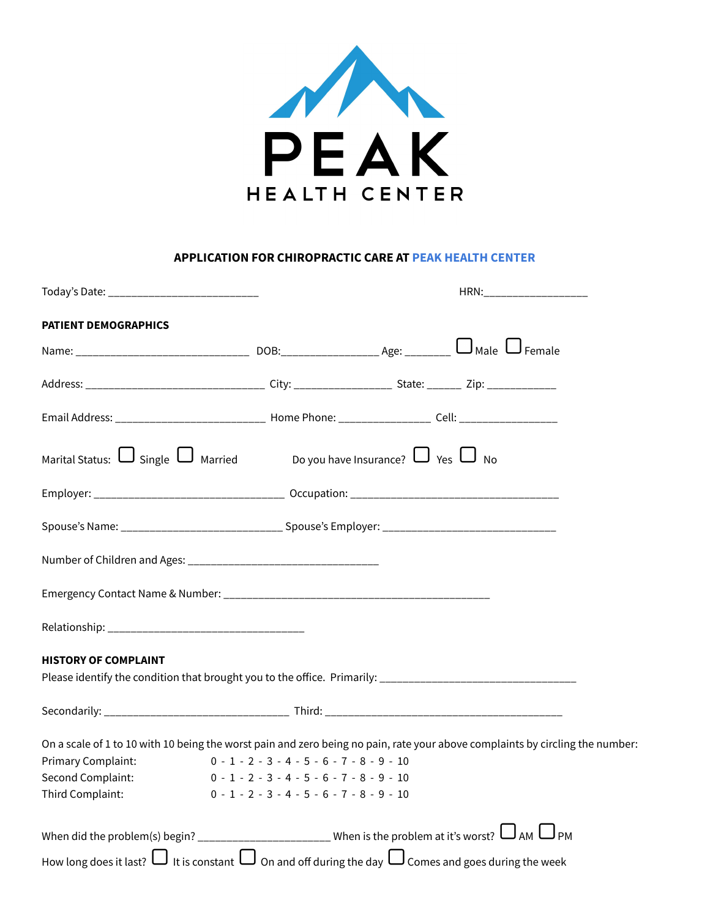

## **APPLICATION FOR CHIROPRACTIC CARE AT PEAK HEALTH CENTER**

|                                                                                                                                                                                                                                              |                                                                                              |  | HRN:____________________ |  |
|----------------------------------------------------------------------------------------------------------------------------------------------------------------------------------------------------------------------------------------------|----------------------------------------------------------------------------------------------|--|--------------------------|--|
| <b>PATIENT DEMOGRAPHICS</b>                                                                                                                                                                                                                  |                                                                                              |  |                          |  |
|                                                                                                                                                                                                                                              |                                                                                              |  |                          |  |
|                                                                                                                                                                                                                                              |                                                                                              |  |                          |  |
| Email Address: _________________________________ Home Phone: ____________________ Cell: _____________________                                                                                                                                |                                                                                              |  |                          |  |
| Marital Status: $\bigcup$ Single $\bigcup$ Married Do you have Insurance? $\bigcup$ Yes $\bigcup$ No                                                                                                                                         |                                                                                              |  |                          |  |
|                                                                                                                                                                                                                                              |                                                                                              |  |                          |  |
| Spouse's Name: ___________________________________ Spouse's Employer: ______________________________                                                                                                                                         |                                                                                              |  |                          |  |
|                                                                                                                                                                                                                                              |                                                                                              |  |                          |  |
|                                                                                                                                                                                                                                              |                                                                                              |  |                          |  |
|                                                                                                                                                                                                                                              |                                                                                              |  |                          |  |
| <b>HISTORY OF COMPLAINT</b>                                                                                                                                                                                                                  |                                                                                              |  |                          |  |
|                                                                                                                                                                                                                                              |                                                                                              |  |                          |  |
| On a scale of 1 to 10 with 10 being the worst pain and zero being no pain, rate your above complaints by circling the number:<br>$0 - 1 - 2 - 3 - 4 - 5 - 6 - 7 - 8 - 9 - 10$<br>Primary Complaint:<br>Second Complaint:<br>Third Complaint: | $0 - 1 - 2 - 3 - 4 - 5 - 6 - 7 - 8 - 9 - 10$<br>$0 - 1 - 2 - 3 - 4 - 5 - 6 - 7 - 8 - 9 - 10$ |  |                          |  |
| How long does it last? $\Box$ It is constant $\Box$ On and off during the day $\Box$ Comes and goes during the week                                                                                                                          |                                                                                              |  |                          |  |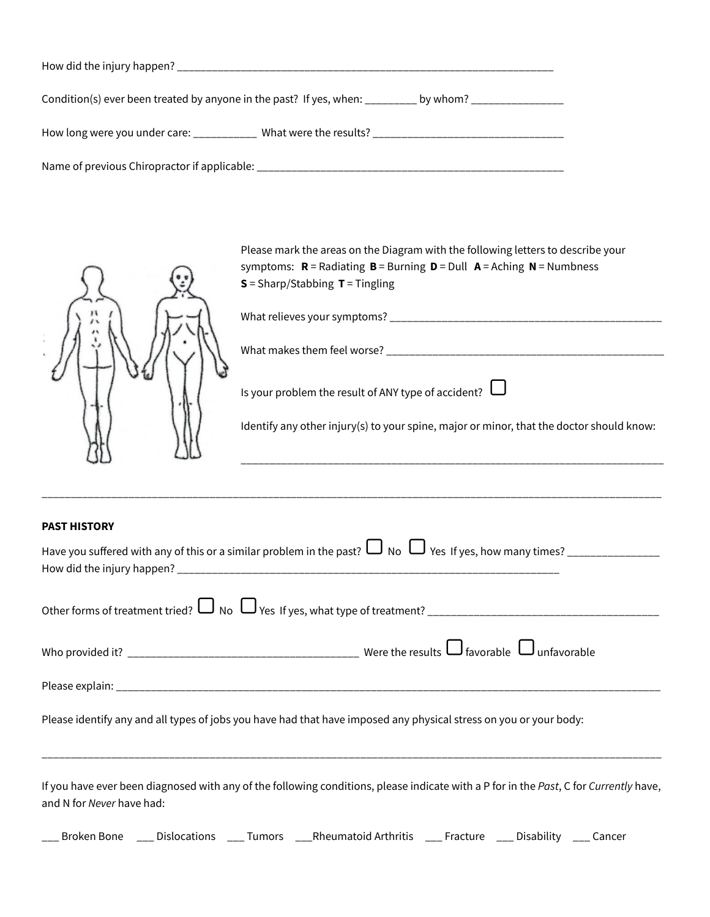| Condition(s) ever been treated by anyone in the past? If yes, when: by whom?     |
|----------------------------------------------------------------------------------|
| How long were you under care: ____________ What were the results? ______________ |
| Name of previous Chiropractor if applicable: ___________                         |

|                                                                                                                                     | Please mark the areas on the Diagram with the following letters to describe your<br>symptoms: $R =$ Radiating $B =$ Burning $D =$ Dull $A =$ Aching $N =$ Numbness<br>$S =$ Sharp/Stabbing $T =$ Tingling |  |  |  |  |
|-------------------------------------------------------------------------------------------------------------------------------------|-----------------------------------------------------------------------------------------------------------------------------------------------------------------------------------------------------------|--|--|--|--|
|                                                                                                                                     |                                                                                                                                                                                                           |  |  |  |  |
|                                                                                                                                     |                                                                                                                                                                                                           |  |  |  |  |
|                                                                                                                                     | Is your problem the result of ANY type of accident? $\Box$                                                                                                                                                |  |  |  |  |
|                                                                                                                                     | Identify any other injury(s) to your spine, major or minor, that the doctor should know:                                                                                                                  |  |  |  |  |
|                                                                                                                                     |                                                                                                                                                                                                           |  |  |  |  |
| <b>PAST HISTORY</b>                                                                                                                 |                                                                                                                                                                                                           |  |  |  |  |
| Have you suffered with any of this or a similar problem in the past? $\Box$ No $\Box$ Yes If yes, how many times? _________________ |                                                                                                                                                                                                           |  |  |  |  |
|                                                                                                                                     |                                                                                                                                                                                                           |  |  |  |  |
|                                                                                                                                     |                                                                                                                                                                                                           |  |  |  |  |
|                                                                                                                                     |                                                                                                                                                                                                           |  |  |  |  |

Please identify any and all types of jobs you have had that have imposed any physical stress on you or your body:

If you have ever been diagnosed with any of the following conditions, please indicate with a P for in the *Past*, C for *Currently* have, and N for *Never* have had:

\_\_\_\_\_\_\_\_\_\_\_\_\_\_\_\_\_\_\_\_\_\_\_\_\_\_\_\_\_\_\_\_\_\_\_\_\_\_\_\_\_\_\_\_\_\_\_\_\_\_\_\_\_\_\_\_\_\_\_\_\_\_\_\_\_\_\_\_\_\_\_\_\_\_\_\_\_\_\_\_\_\_\_\_\_\_\_\_\_\_\_\_\_\_\_\_\_\_\_\_\_\_\_\_\_\_\_

| Broken Bone<br>____ | Dislocations<br>____ | Tumors<br>____ | Rheumatoid Arthritis<br>____ | Fracture<br>____ | Disability<br>____ | Cancer<br>____ |
|---------------------|----------------------|----------------|------------------------------|------------------|--------------------|----------------|
|---------------------|----------------------|----------------|------------------------------|------------------|--------------------|----------------|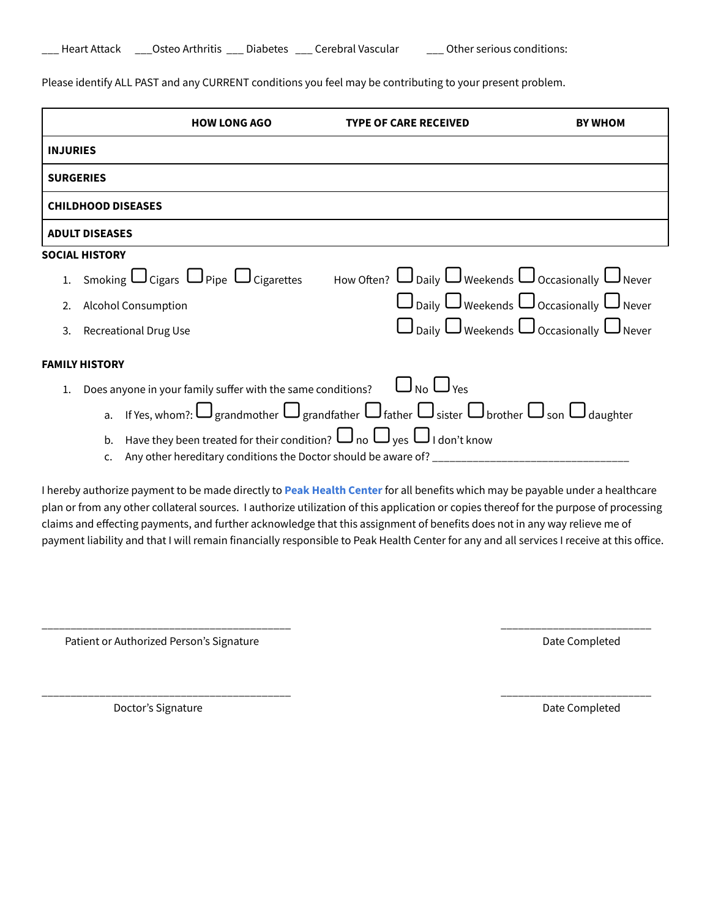| <b>Heart Attack</b> | Osteo Arthritis | <b>Diabetes</b> | Cerebral Vascular |  |
|---------------------|-----------------|-----------------|-------------------|--|
|---------------------|-----------------|-----------------|-------------------|--|

Please identify ALL PAST and any CURRENT conditions you feel may be contributing to your present problem.

|                 |                                                                                                                               | <b>HOW LONG AGO</b>                                                                                                             | TYPE OF CARE RECEIVED | WHOM                                                          |  |  |
|-----------------|-------------------------------------------------------------------------------------------------------------------------------|---------------------------------------------------------------------------------------------------------------------------------|-----------------------|---------------------------------------------------------------|--|--|
| <b>INJURIES</b> |                                                                                                                               |                                                                                                                                 |                       |                                                               |  |  |
|                 | <b>SURGERIES</b>                                                                                                              |                                                                                                                                 |                       |                                                               |  |  |
|                 |                                                                                                                               | <b>CHILDHOOD DISEASES</b>                                                                                                       |                       |                                                               |  |  |
|                 | <b>ADULT DISEASES</b>                                                                                                         |                                                                                                                                 |                       |                                                               |  |  |
|                 | <b>SOCIAL HISTORY</b>                                                                                                         |                                                                                                                                 |                       |                                                               |  |  |
|                 |                                                                                                                               | 1. Smoking $\Box$ Cigars $\Box$ Pipe $\Box$ Cigarettes How Often? $\Box$ Daily $\Box$ Weekends $\Box$ Occasionally $\Box$ Never |                       |                                                               |  |  |
|                 |                                                                                                                               | <b>Alcohol Consumption</b>                                                                                                      |                       | $\Box$ Daily $\Box$ Weekends $\Box$ Occasionally $\Box$ Never |  |  |
|                 |                                                                                                                               | <b>Recreational Drug Use</b>                                                                                                    |                       | $\Box$ Daily $\Box$ Weekends $\Box$ Occasionally $\Box$ Never |  |  |
|                 | <b>FAMILY HISTORY</b>                                                                                                         |                                                                                                                                 |                       |                                                               |  |  |
|                 | $\bigcup_{\text{No}}$ $\bigcup_{\text{Yes}}$<br>Does anyone in your family suffer with the same conditions?                   |                                                                                                                                 |                       |                                                               |  |  |
|                 | a. If Yes, whom?: $\Box$ grandmother $\Box$ grandfather $\Box$ father $\Box$ sister $\Box$ brother $\Box$ son $\Box$ daughter |                                                                                                                                 |                       |                                                               |  |  |
|                 | b.                                                                                                                            | Have they been treated for their condition? $\Box$ no $\Box$ yes $\Box$ I don't know                                            |                       |                                                               |  |  |
|                 | c.                                                                                                                            | Any other hereditary conditions the Doctor should be aware of? _________________                                                |                       |                                                               |  |  |

I hereby authorize payment to be made directly to **Peak Health Center** for all benefits which may be payable under a healthcare plan or from any other collateral sources. I authorize utilization of this application or copies thereof for the purpose of processing claims and effecting payments, and further acknowledge that this assignment of benefits does not in any way relieve me of payment liability and that I will remain financially responsible to Peak Health Center for any and all services I receive at this office.

\_\_\_\_\_\_\_\_\_\_\_\_\_\_\_\_\_\_\_\_\_\_\_\_\_\_\_\_\_\_\_\_\_\_\_\_\_\_\_\_\_\_\_ \_\_\_\_\_\_\_\_\_\_\_\_\_\_\_\_\_\_\_\_\_\_\_\_\_\_

\_\_\_\_\_\_\_\_\_\_\_\_\_\_\_\_\_\_\_\_\_\_\_\_\_\_\_\_\_\_\_\_\_\_\_\_\_\_\_\_\_\_\_ \_\_\_\_\_\_\_\_\_\_\_\_\_\_\_\_\_\_\_\_\_\_\_\_\_\_

Patient or Authorized Person's Signature **Date Completed** Date Completed

Doctor's Signature **Date Completed Date Completed**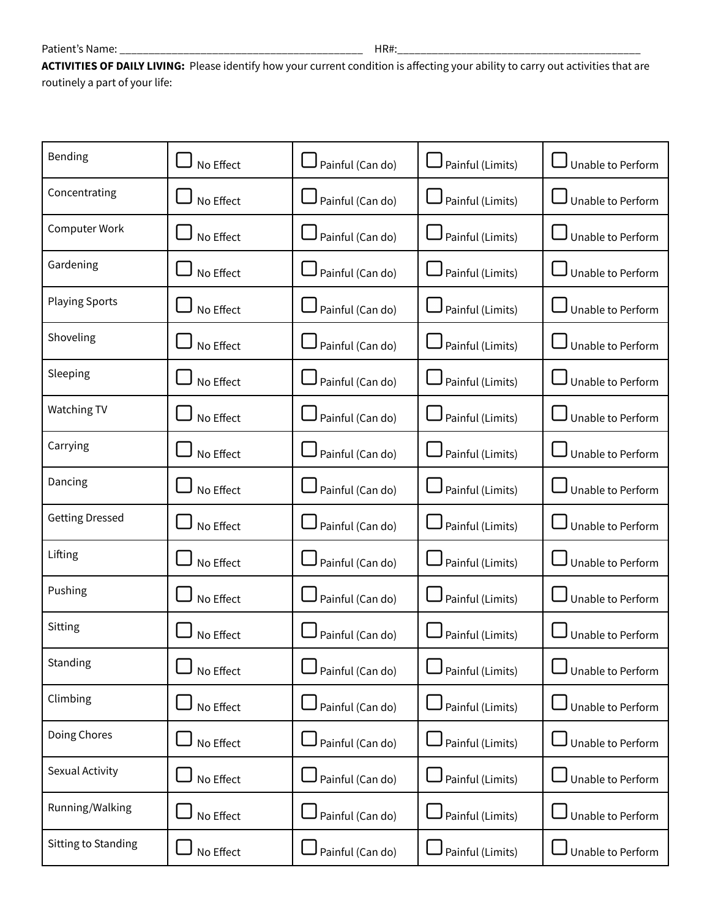**ACTIVITIES OF DAILY LIVING:** Please identify how your current condition is affecting your ability to carry out activities that are routinely a part of your life:

| Bending                | No Effect | Painful (Can do) | Painful (Limits)     | Unable to Perform |
|------------------------|-----------|------------------|----------------------|-------------------|
| Concentrating          | No Effect | Painful (Can do) | Painful (Limits)     | Unable to Perform |
| Computer Work          | No Effect | Painful (Can do) | Painful (Limits)     | Unable to Perform |
| Gardening              | No Effect | Painful (Can do) | $J$ Painful (Limits) | Unable to Perform |
| <b>Playing Sports</b>  | No Effect | Painful (Can do) | Painful (Limits)     | Unable to Perform |
| Shoveling              | No Effect | Painful (Can do) | Painful (Limits)     | Unable to Perform |
| Sleeping               | No Effect | Painful (Can do) | Painful (Limits)     | Unable to Perform |
| <b>Watching TV</b>     | No Effect | Painful (Can do) | Painful (Limits)     | Unable to Perform |
| Carrying               | No Effect | Painful (Can do) | Painful (Limits)     | Unable to Perform |
| Dancing                | No Effect | Painful (Can do) | Painful (Limits)     | Unable to Perform |
| <b>Getting Dressed</b> | No Effect | Painful (Can do) | Painful (Limits)     | Unable to Perform |
| Lifting                | No Effect | Painful (Can do) | Painful (Limits)     | Unable to Perform |
| Pushing                | No Effect | Painful (Can do) | J Painful (Limits)   | Unable to Perform |
| Sitting                | No Effect | Painful (Can do) | Painful (Limits)     | Unable to Perform |
| Standing               | No Effect | Painful (Can do) | Painful (Limits)     | Unable to Perform |
| Climbing               | No Effect | Painful (Can do) | Painful (Limits)     | Unable to Perform |
| Doing Chores           | No Effect | Painful (Can do) | Painful (Limits)     | Unable to Perform |
| Sexual Activity        | No Effect | Painful (Can do) | Painful (Limits)     | Unable to Perform |
| Running/Walking        | No Effect | Painful (Can do) | Painful (Limits)     | Unable to Perform |
| Sitting to Standing    | No Effect | Painful (Can do) | Painful (Limits)     | Unable to Perform |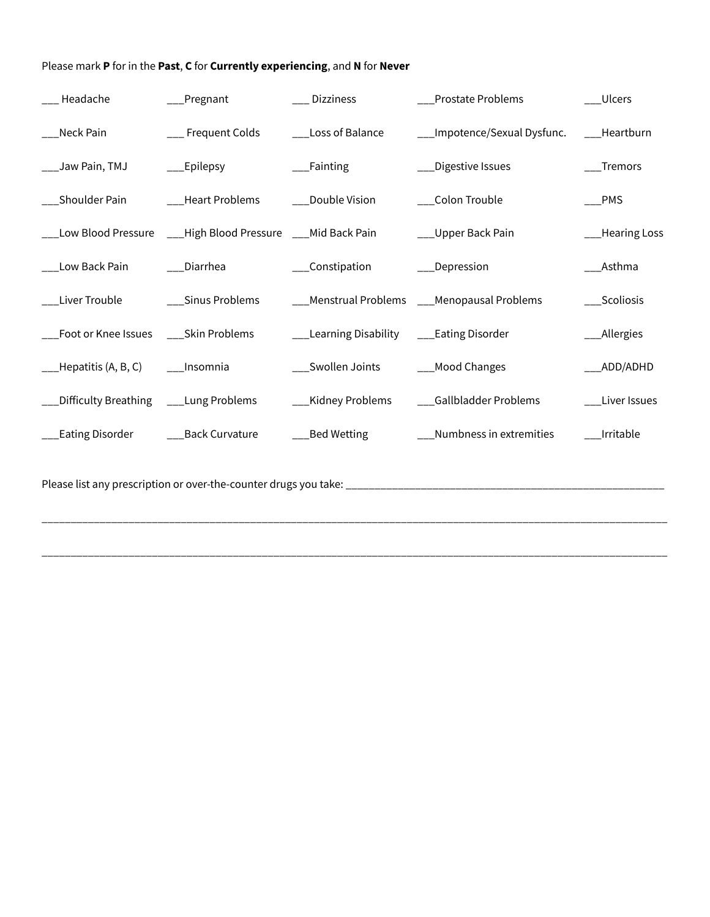| __ Headache                             | _Pregnant                                                    | __ Dizziness                              | Prostate Problems                           | __Ulcers       |
|-----------------------------------------|--------------------------------------------------------------|-------------------------------------------|---------------------------------------------|----------------|
| Neck Pain                               | __ Frequent Colds                                            | __Loss of Balance                         | __Impotence/Sexual Dysfunc. ___Heartburn    |                |
| ___Jaw Pain, TMJ                        | $\rule{1em}{0.15mm}$ Epilepsy                                | __Fainting                                | _Digestive Issues                           | Tremors        |
| ___Shoulder Pain                        | ___Heart Problems                                            | ___Double Vision                          | __Colon Trouble                             | $\_$ PMS       |
|                                         | __Low Blood Pressure ___High Blood Pressure ___Mid Back Pain |                                           | __Upper Back Pain                           | __Hearing Loss |
| Low Back Pain                           | __Diarrhea                                                   | __Constipation                            | __Depression                                | Asthma         |
| Liver Trouble                           | ___Sinus Problems                                            |                                           | __Menstrual Problems ___Menopausal Problems | __Scoliosis    |
| __Foot or Knee Issues ____Skin Problems |                                                              | __Learning Disability ____Eating Disorder |                                             | __Allergies    |
| Hepatitis (A, B, C) ______Insomnia      |                                                              | ___Swollen Joints                         | __Mood Changes                              | ___ADD/ADHD    |
| Difficulty Breathing ____Lung Problems  |                                                              | __Kidney Problems                         | __Gallbladder Problems                      | __Liver Issues |
|                                         |                                                              | ___Bed Wetting                            | __Numbness in extremities                   | Irritable      |
|                                         |                                                              |                                           |                                             |                |

\_\_\_\_\_\_\_\_\_\_\_\_\_\_\_\_\_\_\_\_\_\_\_\_\_\_\_\_\_\_\_\_\_\_\_\_\_\_\_\_\_\_\_\_\_\_\_\_\_\_\_\_\_\_\_\_\_\_\_\_\_\_\_\_\_\_\_\_\_\_\_\_\_\_\_\_\_\_\_\_\_\_\_\_\_\_\_\_\_\_\_\_\_\_\_\_\_\_\_\_\_\_\_\_\_\_\_\_

\_\_\_\_\_\_\_\_\_\_\_\_\_\_\_\_\_\_\_\_\_\_\_\_\_\_\_\_\_\_\_\_\_\_\_\_\_\_\_\_\_\_\_\_\_\_\_\_\_\_\_\_\_\_\_\_\_\_\_\_\_\_\_\_\_\_\_\_\_\_\_\_\_\_\_\_\_\_\_\_\_\_\_\_\_\_\_\_\_\_\_\_\_\_\_\_\_\_\_\_\_\_\_\_\_\_\_\_

Please mark **P** for in the **Past**, **C** for **Currently experiencing**, and **N** for **Never**

Please list any prescription or over-the-counter drugs you take: \_\_\_\_\_\_\_\_\_\_\_\_\_\_\_\_\_\_\_\_\_\_\_\_\_\_\_\_\_\_\_\_\_\_\_\_\_\_\_\_\_\_\_\_\_\_\_\_\_\_\_\_\_\_\_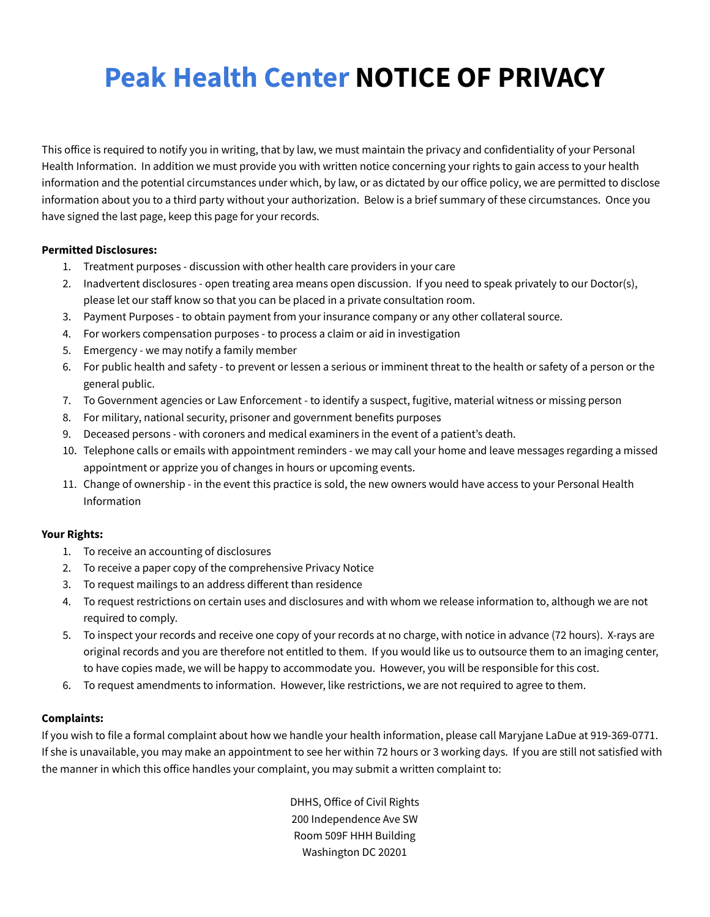# **Peak Health Center NOTICE OF PRIVACY**

This office is required to notify you in writing, that by law, we must maintain the privacy and confidentiality of your Personal Health Information. In addition we must provide you with written notice concerning your rights to gain access to your health information and the potential circumstances under which, by law, or as dictated by our office policy, we are permitted to disclose information about you to a third party without your authorization. Below is a brief summary of these circumstances. Once you have signed the last page, keep this page for your records.

### **Permitted Disclosures:**

- 1. Treatment purposes discussion with other health care providers in your care
- 2. Inadvertent disclosures open treating area means open discussion. If you need to speak privately to our Doctor(s), please let our staff know so that you can be placed in a private consultation room.
- 3. Payment Purposes to obtain payment from your insurance company or any other collateral source.
- 4. For workers compensation purposes to process a claim or aid in investigation
- 5. Emergency we may notify a family member
- 6. For public health and safety to prevent or lessen a serious or imminent threat to the health or safety of a person or the general public.
- 7. To Government agencies or Law Enforcement to identify a suspect, fugitive, material witness or missing person
- 8. For military, national security, prisoner and government benefits purposes
- 9. Deceased persons with coroners and medical examiners in the event of a patient's death.
- 10. Telephone calls or emails with appointment reminders we may call your home and leave messages regarding a missed appointment or apprize you of changes in hours or upcoming events.
- 11. Change of ownership in the event this practice is sold, the new owners would have access to your Personal Health Information

### **Your Rights:**

- 1. To receive an accounting of disclosures
- 2. To receive a paper copy of the comprehensive Privacy Notice
- 3. To request mailings to an address different than residence
- 4. To request restrictions on certain uses and disclosures and with whom we release information to, although we are not required to comply.
- 5. To inspect your records and receive one copy of your records at no charge, with notice in advance (72 hours). X-rays are original records and you are therefore not entitled to them. If you would like us to outsource them to an imaging center, to have copies made, we will be happy to accommodate you. However, you will be responsible for this cost.
- 6. To request amendments to information. However, like restrictions, we are not required to agree to them.

## **Complaints:**

If you wish to file a formal complaint about how we handle your health information, please call Maryjane LaDue at 919-369-0771. If she is unavailable, you may make an appointment to see her within 72 hours or 3 working days. If you are still not satisfied with the manner in which this office handles your complaint, you may submit a written complaint to:

> DHHS, Office of Civil Rights 200 Independence Ave SW Room 509F HHH Building Washington DC 20201